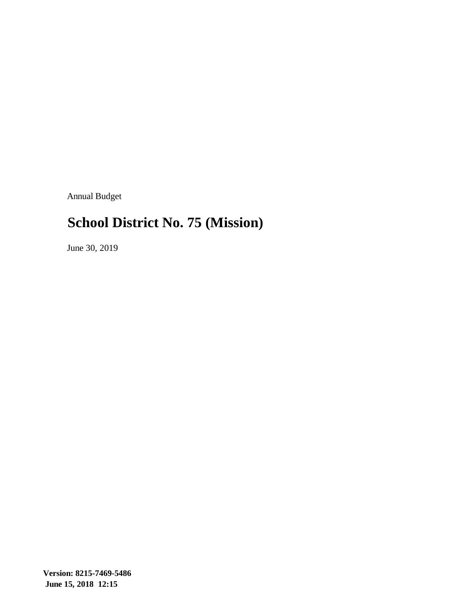Annual Budget

# **School District No. 75 (Mission)**

June 30, 2019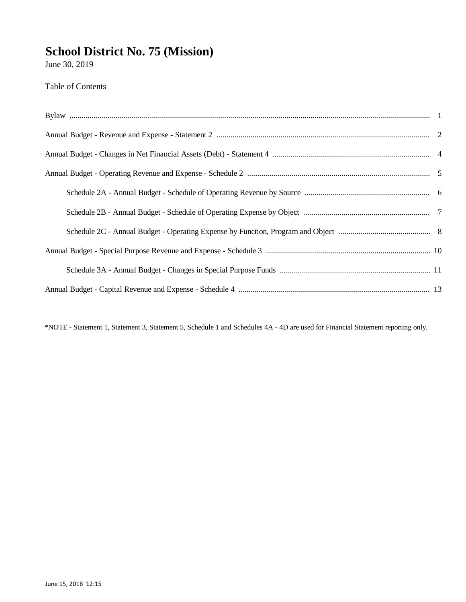June 30, 2019

Table of Contents

\*NOTE - Statement 1, Statement 3, Statement 5, Schedule 1 and Schedules 4A - 4D are used for Financial Statement reporting only.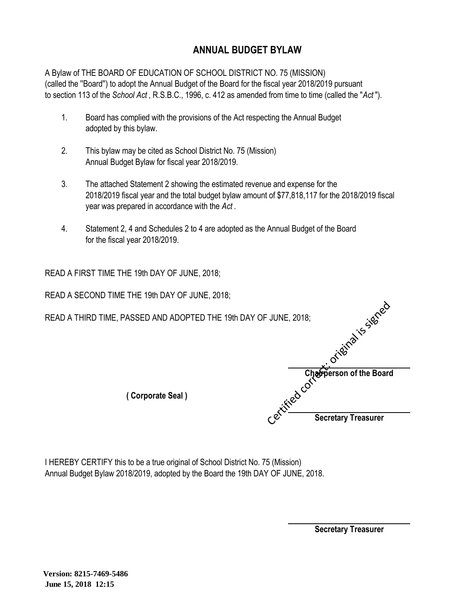### **ANNUAL BUDGET BYLAW**

A Bylaw of THE BOARD OF EDUCATION OF SCHOOL DISTRICT NO. 75 (MISSION) (called the ''Board'') to adopt the Annual Budget of the Board for the fiscal year 2018/2019 pursuant to section 113 of the *School Act* , R.S.B.C., 1996, c. 412 as amended from time to time (called the "*Act* ").

- 1. Board has complied with the provisions of the Act respecting the Annual Budget adopted by this bylaw.
- 2. This bylaw may be cited as School District No. 75 (Mission) Annual Budget Bylaw for fiscal year 2018/2019.
- 3. The attached Statement 2 showing the estimated revenue and expense for the 2018/2019 fiscal year and the total budget bylaw amount of \$77,818,117 for the 2018/2019 fiscal year was prepared in accordance with the *Act* .
- 4. Statement 2, 4 and Schedules 2 to 4 are adopted as the Annual Budget of the Board for the fiscal year 2018/2019.

READ A FIRST TIME THE 19th DAY OF JUNE, 2018;

READ A SECOND TIME THE 19th DAY OF JUNE, 2018;

| READ A THIRD TIME, PASSED AND ADOPTED THE 19th DAY OF JUNE, 2018; | iriginal is idence         |
|-------------------------------------------------------------------|----------------------------|
|                                                                   |                            |
|                                                                   | Chairperson of the Board   |
| (Corporate Seal)                                                  | r.extrined.com             |
|                                                                   | <b>Secretary Treasurer</b> |

I HEREBY CERTIFY this to be a true original of School District No. 75 (Mission) Annual Budget Bylaw 2018/2019, adopted by the Board the 19th DAY OF JUNE, 2018.

**Secretary Treasurer**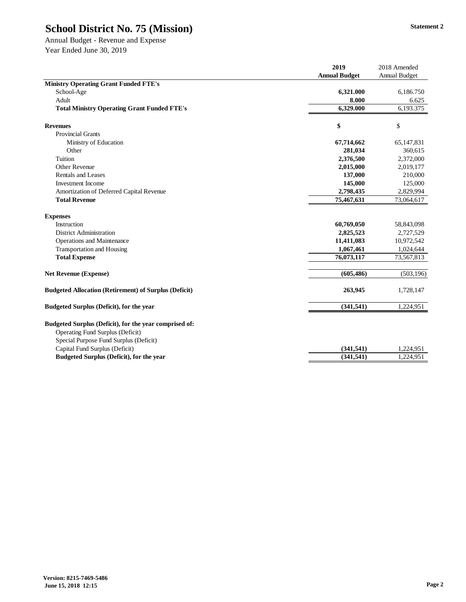Annual Budget - Revenue and Expense Year Ended June 30, 2019

| <b>Ministry Operating Grant Funded FTE's</b>                                                                                         | <b>Annual Budget</b><br>6,321.000 | Annual Budget |
|--------------------------------------------------------------------------------------------------------------------------------------|-----------------------------------|---------------|
|                                                                                                                                      |                                   |               |
|                                                                                                                                      |                                   |               |
| School-Age                                                                                                                           |                                   | 6,186.750     |
| Adult                                                                                                                                | 8.000                             | 6.625         |
| <b>Total Ministry Operating Grant Funded FTE's</b>                                                                                   | 6.329.000                         | 6,193.375     |
| <b>Revenues</b>                                                                                                                      | \$                                | \$            |
| <b>Provincial Grants</b>                                                                                                             |                                   |               |
| Ministry of Education                                                                                                                | 67,714,662                        | 65,147,831    |
| Other                                                                                                                                | 281,034                           | 360,615       |
| Tuition                                                                                                                              | 2,376,500                         | 2,372,000     |
| Other Revenue                                                                                                                        | 2,015,000                         | 2,019,177     |
| <b>Rentals and Leases</b>                                                                                                            | 137,000                           | 210,000       |
| <b>Investment Income</b>                                                                                                             | 145,000                           | 125,000       |
| Amortization of Deferred Capital Revenue                                                                                             | 2,798,435                         | 2,829,994     |
| <b>Total Revenue</b>                                                                                                                 | 75,467,631                        | 73,064,617    |
| <b>Expenses</b>                                                                                                                      |                                   |               |
| Instruction                                                                                                                          | 60,769,050                        | 58,843,098    |
| <b>District Administration</b>                                                                                                       | 2,825,523                         | 2,727,529     |
| Operations and Maintenance                                                                                                           | 11,411,083                        | 10,972,542    |
| <b>Transportation and Housing</b>                                                                                                    | 1,067,461                         | 1,024,644     |
| <b>Total Expense</b>                                                                                                                 | 76,073,117                        | 73,567,813    |
| <b>Net Revenue (Expense)</b>                                                                                                         | (605, 486)                        | (503, 196)    |
| <b>Budgeted Allocation (Retirement) of Surplus (Deficit)</b>                                                                         | 263,945                           | 1,728,147     |
| <b>Budgeted Surplus (Deficit), for the year</b>                                                                                      | (341, 541)                        | 1,224,951     |
| Budgeted Surplus (Deficit), for the year comprised of:<br>Operating Fund Surplus (Deficit)<br>Special Purpose Fund Surplus (Deficit) |                                   |               |
| Capital Fund Surplus (Deficit)                                                                                                       | (341, 541)                        | 1,224,951     |
| <b>Budgeted Surplus (Deficit), for the year</b>                                                                                      | (341, 541)                        | 1,224,951     |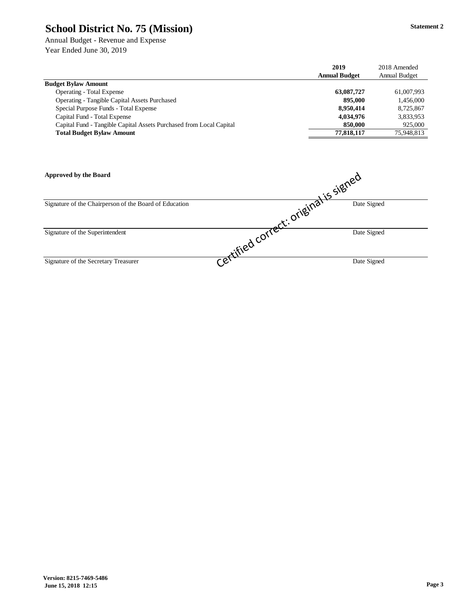Annual Budget - Revenue and Expense Year Ended June 30, 2019

|                                                                     | 2019                 | 2018 Amended         |
|---------------------------------------------------------------------|----------------------|----------------------|
|                                                                     | <b>Annual Budget</b> | <b>Annual Budget</b> |
| <b>Budget Bylaw Amount</b>                                          |                      |                      |
| <b>Operating - Total Expense</b>                                    | 63,087,727           | 61,007,993           |
| <b>Operating - Tangible Capital Assets Purchased</b>                | 895,000              | 1,456,000            |
| Special Purpose Funds - Total Expense                               | 8.950.414            | 8.725.867            |
| Capital Fund - Total Expense                                        | 4,034,976            | 3,833,953            |
| Capital Fund - Tangible Capital Assets Purchased from Local Capital | 850,000              | 925,000              |
| <b>Total Budget Bylaw Amount</b>                                    | 77.818.117           | 75,948,813           |

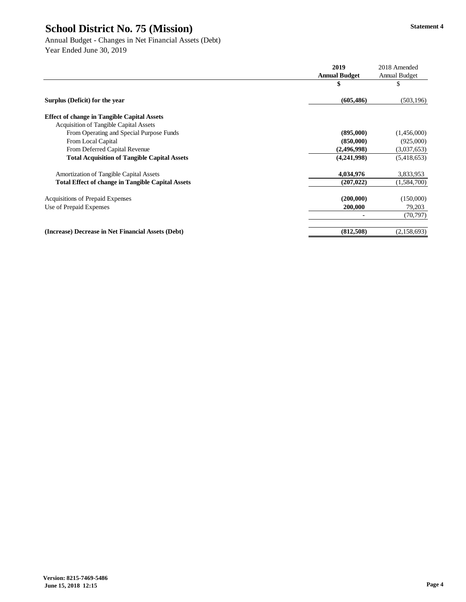Annual Budget - Changes in Net Financial Assets (Debt) Year Ended June 30, 2019

|                                                          | 2019                 | 2018 Amended  |
|----------------------------------------------------------|----------------------|---------------|
|                                                          | <b>Annual Budget</b> | Annual Budget |
|                                                          | \$                   | \$            |
| Surplus (Deficit) for the year                           | (605, 486)           | (503, 196)    |
| <b>Effect of change in Tangible Capital Assets</b>       |                      |               |
| <b>Acquisition of Tangible Capital Assets</b>            |                      |               |
| From Operating and Special Purpose Funds                 | (895,000)            | (1,456,000)   |
| From Local Capital                                       | (850,000)            | (925,000)     |
| From Deferred Capital Revenue                            | (2,496,998)          | (3,037,653)   |
| <b>Total Acquisition of Tangible Capital Assets</b>      | (4,241,998)          | (5,418,653)   |
| Amortization of Tangible Capital Assets                  | 4,034,976            | 3,833,953     |
| <b>Total Effect of change in Tangible Capital Assets</b> | (207, 022)           | (1,584,700)   |
| Acquisitions of Prepaid Expenses                         | (200,000)            | (150,000)     |
| Use of Prepaid Expenses                                  | 200,000              | 79,203        |
|                                                          | ۰                    | (70, 797)     |
| (Increase) Decrease in Net Financial Assets (Debt)       | (812,508)            | (2,158,693)   |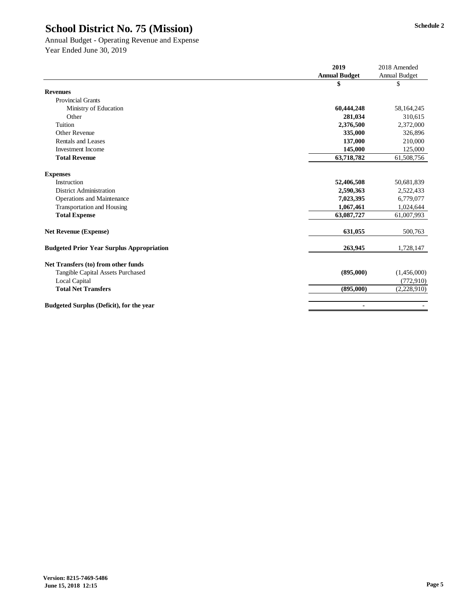Annual Budget - Operating Revenue and Expense Year Ended June 30, 2019

|                                                  | 2019                 | 2018 Amended         |
|--------------------------------------------------|----------------------|----------------------|
|                                                  | <b>Annual Budget</b> | <b>Annual Budget</b> |
|                                                  | \$                   | \$                   |
| <b>Revenues</b>                                  |                      |                      |
| <b>Provincial Grants</b>                         |                      |                      |
| Ministry of Education                            | 60,444,248           | 58,164,245           |
| Other                                            | 281,034              | 310,615              |
| <b>Tuition</b>                                   | 2,376,500            | 2,372,000            |
| Other Revenue                                    | 335,000              | 326,896              |
| <b>Rentals and Leases</b>                        | 137,000              | 210,000              |
| <b>Investment Income</b>                         | 145,000              | 125,000              |
| <b>Total Revenue</b>                             | 63,718,782           | 61,508,756           |
|                                                  |                      |                      |
| <b>Expenses</b>                                  |                      |                      |
| Instruction                                      | 52,406,508           | 50,681,839           |
| <b>District Administration</b>                   | 2,590,363            | 2,522,433            |
| Operations and Maintenance                       | 7,023,395            | 6,779,077            |
| Transportation and Housing                       | 1,067,461            | 1,024,644            |
| <b>Total Expense</b>                             | 63,087,727           | 61,007,993           |
| <b>Net Revenue (Expense)</b>                     | 631,055              | 500,763              |
| <b>Budgeted Prior Year Surplus Appropriation</b> | 263,945              | 1,728,147            |
|                                                  |                      |                      |
| Net Transfers (to) from other funds              |                      |                      |
| Tangible Capital Assets Purchased                | (895,000)            | (1,456,000)          |
| <b>Local Capital</b>                             |                      | (772, 910)           |
| <b>Total Net Transfers</b>                       | (895,000)            | (2,228,910)          |
| <b>Budgeted Surplus (Deficit), for the year</b>  | ٠                    |                      |
|                                                  |                      |                      |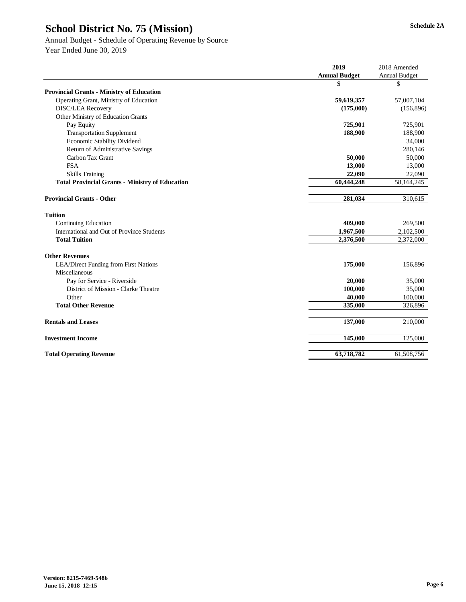#### Annual Budget - Schedule of Operating Revenue by Source Year Ended June 30, 2019

**2019** 2018 Amended **Annual Budget** Annual Budget **\$** \$ **Provincial Grants - Ministry of Education** Operating Grant, Ministry of Education **59,619,357** 57,007,104 DISC/LEA Recovery **(175,000)** (156,896) Other Ministry of Education Grants Pay Equity **725,901** 725,901 Transportation Supplement **188,900** 188,900 188,900 188,900 188,900 188,900 188,900 188,900 188,900 188,900 188,900 188,900 188,900 188,900 188,900 188,900 188,900 188,900 188,900 188,900 188,900 188,900 188,900 189,100 18 Economic Stability Dividend 34,000 Return of Administrative Savings 280,146 Carbon Tax Grant **50,000** 50,000 FSA **13,000** 13,000 Skills Training **22,090** 22,090 Total Provincial Grants - Ministry of Education 60,444,248 58,164,245 **Provincial Grants - Other 281,034** 310,615 **Tuition** Continuing Education **409,000** 269,500<br>International and Out of Province Students **409,000** 2,102,500 2,102,500 International and Out of Province Students<br> **1,967,500** 2,102,500<br> **2,376,500** 2,372,000<br> **2,376,500** 2,372,000 **Total Tuition 2,376,500** 2,372,000 **Other Revenues** LEA/Direct Funding from First Nations **175,000** 156,896 Miscellaneous Pay for Service - Riverside 20,000 35,000 35,000 35,000 35,000 35,000 35,000 35,000 35,000 35,000 35,000 35,000 35,000 35,000 35,000 35,000 35,000 35,000 35,000 35,000 35,000 35,000 35,000 35,000 35,000 35,000 35,000 35,00 District of Mission - Clarke Theatre **100,000** 35,000 **Other** 40,000 100,000 100,000 100,000 100,000 100,000 100,000 100,000 100,000 100,000 100,000 100,000 100,000 100,000 100,000 100,000 100,000 100,000 100,000 100,000 100,000 100,000 100,000 100,000 100,000 100,000 100,000 **Total Other Revenue** 335,000 326,896 **Rentals and Leases** 210,000 210,000 210,000 210,000 210,000 210,000 210,000 210,000 210,000 210,000 210,000 210,000 210,000 210,000 210,000 210,000 210,000 210,000 210,000 210,000 210,000 210,000 210,000 210,000 210,000 2 **Investment Income 125,000** 125,000 125,000 125,000 125,000 125,000 125,000 125,000 125,000 125,000 125,000 125,000 125,000 125,000 125,000 125,000 125,000 125,000 125,000 125,000 125,000 125,000 125,000 125,000 125,000 12 **Total Operating Revenue** 63,718,782 61,508,756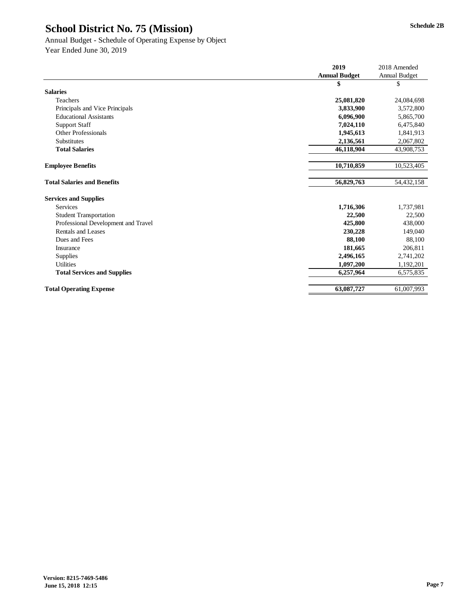### Annual Budget - Schedule of Operating Expense by Object Year Ended June 30, 2019

|                                     | 2019                 | 2018 Amended  |
|-------------------------------------|----------------------|---------------|
|                                     | <b>Annual Budget</b> | Annual Budget |
|                                     | \$                   | \$            |
| <b>Salaries</b>                     |                      |               |
| Teachers                            | 25,081,820           | 24,084,698    |
| Principals and Vice Principals      | 3,833,900            | 3,572,800     |
| <b>Educational Assistants</b>       | 6,096,900            | 5,865,700     |
| <b>Support Staff</b>                | 7,024,110            | 6,475,840     |
| Other Professionals                 | 1,945,613            | 1,841,913     |
| <b>Substitutes</b>                  | 2,136,561            | 2,067,802     |
| <b>Total Salaries</b>               | 46,118,904           | 43,908,753    |
|                                     |                      |               |
| <b>Employee Benefits</b>            | 10,710,859           | 10,523,405    |
|                                     |                      |               |
| <b>Total Salaries and Benefits</b>  | 56,829,763           | 54,432,158    |
| <b>Services and Supplies</b>        |                      |               |
| <b>Services</b>                     | 1,716,306            | 1,737,981     |
| <b>Student Transportation</b>       | 22,500               | 22,500        |
| Professional Development and Travel | 425,800              | 438,000       |
| Rentals and Leases                  | 230,228              | 149,040       |
| Dues and Fees                       | 88,100               | 88,100        |
| Insurance                           | 181,665              | 206,811       |
| <b>Supplies</b>                     | 2,496,165            | 2,741,202     |
| <b>Utilities</b>                    | 1,097,200            | 1,192,201     |
| <b>Total Services and Supplies</b>  | 6,257,964            | 6,575,835     |
|                                     |                      |               |
| <b>Total Operating Expense</b>      | 63,087,727           | 61,007,993    |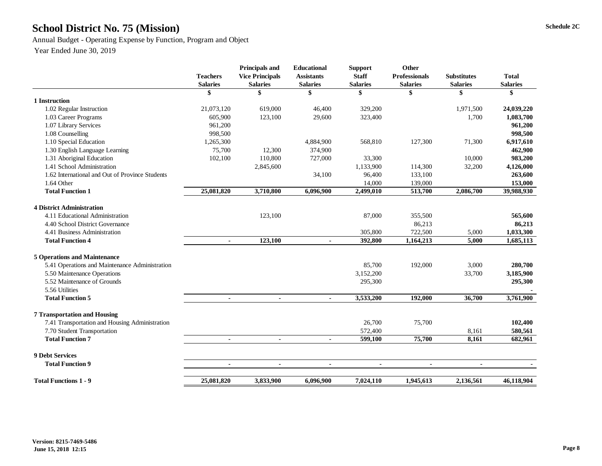## **Schedule 2C School District No. 75 (Mission)**

Annual Budget - Operating Expense by Function, Program and Object

|                                                 | <b>Teachers</b><br><b>Salaries</b> | <b>Principals and</b><br><b>Vice Principals</b><br><b>Salaries</b> | <b>Educational</b><br><b>Assistants</b><br><b>Salaries</b> | <b>Support</b><br><b>Staff</b><br><b>Salaries</b> | Other<br><b>Professionals</b><br><b>Salaries</b> | <b>Substitutes</b><br><b>Salaries</b> | <b>Total</b><br><b>Salaries</b> |
|-------------------------------------------------|------------------------------------|--------------------------------------------------------------------|------------------------------------------------------------|---------------------------------------------------|--------------------------------------------------|---------------------------------------|---------------------------------|
|                                                 | \$                                 | \$                                                                 | \$                                                         | \$                                                | \$                                               | \$                                    | \$                              |
| 1 Instruction                                   |                                    |                                                                    |                                                            |                                                   |                                                  |                                       |                                 |
| 1.02 Regular Instruction                        | 21,073,120                         | 619,000                                                            | 46,400                                                     | 329,200                                           |                                                  | 1,971,500                             | 24,039,220                      |
| 1.03 Career Programs                            | 605,900                            | 123,100                                                            | 29,600                                                     | 323,400                                           |                                                  | 1,700                                 | 1,083,700                       |
| 1.07 Library Services                           | 961,200                            |                                                                    |                                                            |                                                   |                                                  |                                       | 961,200                         |
| 1.08 Counselling                                | 998,500                            |                                                                    |                                                            |                                                   |                                                  |                                       | 998,500                         |
| 1.10 Special Education                          | 1,265,300                          |                                                                    | 4,884,900                                                  | 568,810                                           | 127,300                                          | 71,300                                | 6,917,610                       |
| 1.30 English Language Learning                  | 75,700                             | 12,300                                                             | 374,900                                                    |                                                   |                                                  |                                       | 462,900                         |
| 1.31 Aboriginal Education                       | 102,100                            | 110,800                                                            | 727,000                                                    | 33,300                                            |                                                  | 10,000                                | 983,200                         |
| 1.41 School Administration                      |                                    | 2,845,600                                                          |                                                            | 1,133,900                                         | 114,300                                          | 32,200                                | 4,126,000                       |
| 1.62 International and Out of Province Students |                                    |                                                                    | 34,100                                                     | 96,400                                            | 133,100                                          |                                       | 263,600                         |
| 1.64 Other                                      |                                    |                                                                    |                                                            | 14,000                                            | 139,000                                          |                                       | 153,000                         |
| <b>Total Function 1</b>                         | 25,081,820                         | 3,710,800                                                          | 6,096,900                                                  | 2,499,010                                         | 513,700                                          | 2,086,700                             | 39,988,930                      |
| <b>4 District Administration</b>                |                                    |                                                                    |                                                            |                                                   |                                                  |                                       |                                 |
| 4.11 Educational Administration                 |                                    | 123,100                                                            |                                                            | 87,000                                            | 355,500                                          |                                       | 565,600                         |
| 4.40 School District Governance                 |                                    |                                                                    |                                                            |                                                   | 86,213                                           |                                       | 86,213                          |
| 4.41 Business Administration                    |                                    |                                                                    |                                                            | 305,800                                           | 722,500                                          | 5,000                                 | 1,033,300                       |
| <b>Total Function 4</b>                         | $\blacksquare$                     | 123,100                                                            | $\blacksquare$                                             | 392,800                                           | 1,164,213                                        | 5,000                                 | 1,685,113                       |
| <b>5 Operations and Maintenance</b>             |                                    |                                                                    |                                                            |                                                   |                                                  |                                       |                                 |
| 5.41 Operations and Maintenance Administration  |                                    |                                                                    |                                                            | 85,700                                            | 192,000                                          | 3,000                                 | 280,700                         |
| 5.50 Maintenance Operations                     |                                    |                                                                    |                                                            | 3,152,200                                         |                                                  | 33,700                                | 3,185,900                       |
| 5.52 Maintenance of Grounds                     |                                    |                                                                    |                                                            | 295,300                                           |                                                  |                                       | 295,300                         |
| 5.56 Utilities                                  |                                    |                                                                    |                                                            |                                                   |                                                  |                                       |                                 |
| <b>Total Function 5</b>                         | $\blacksquare$                     | $\blacksquare$                                                     | $\blacksquare$                                             | 3,533,200                                         | 192,000                                          | 36,700                                | 3,761,900                       |
|                                                 |                                    |                                                                    |                                                            |                                                   |                                                  |                                       |                                 |
| <b>7 Transportation and Housing</b>             |                                    |                                                                    |                                                            |                                                   |                                                  |                                       |                                 |
| 7.41 Transportation and Housing Administration  |                                    |                                                                    |                                                            | 26,700                                            | 75,700                                           |                                       | 102,400                         |
| 7.70 Student Transportation                     |                                    |                                                                    |                                                            | 572,400                                           |                                                  | 8,161                                 | 580,561                         |
| <b>Total Function 7</b>                         | $\blacksquare$                     | $\blacksquare$                                                     | $\blacksquare$                                             | 599,100                                           | 75,700                                           | 8,161                                 | 682,961                         |
| 9 Debt Services                                 |                                    |                                                                    |                                                            |                                                   |                                                  |                                       |                                 |
| <b>Total Function 9</b>                         | $\blacksquare$                     | $\blacksquare$                                                     | $\blacksquare$                                             | $\blacksquare$                                    | $\blacksquare$                                   | $\blacksquare$                        |                                 |
| <b>Total Functions 1 - 9</b>                    | 25,081,820                         | 3,833,900                                                          | 6,096,900                                                  | 7,024,110                                         | 1,945,613                                        | 2,136,561                             | 46,118,904                      |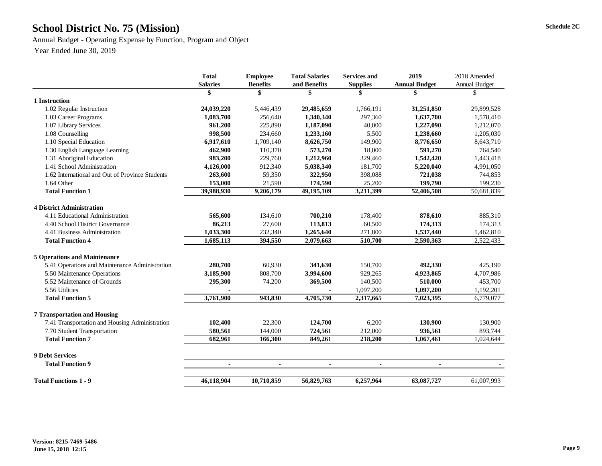## **Schedule 2C School District No. 75 (Mission)**

Annual Budget - Operating Expense by Function, Program and Object

|                                                 | <b>Total</b>    | <b>Employee</b> | <b>Total Salaries</b> | <b>Services and</b> | 2019                 | 2018 Amended  |
|-------------------------------------------------|-----------------|-----------------|-----------------------|---------------------|----------------------|---------------|
|                                                 | <b>Salaries</b> | <b>Benefits</b> | and Benefits          | <b>Supplies</b>     | <b>Annual Budget</b> | Annual Budget |
|                                                 | \$              | \$              | \$                    |                     | \$                   | \$            |
| 1 Instruction                                   |                 |                 |                       |                     |                      |               |
| 1.02 Regular Instruction                        | 24,039,220      | 5,446,439       | 29,485,659            | 1,766,191           | 31,251,850           | 29,899,528    |
| 1.03 Career Programs                            | 1,083,700       | 256,640         | 1,340,340             | 297,360             | 1,637,700            | 1,578,410     |
| 1.07 Library Services                           | 961,200         | 225,890         | 1,187,090             | 40,000              | 1,227,090            | 1,212,070     |
| 1.08 Counselling                                | 998,500         | 234,660         | 1,233,160             | 5,500               | 1,238,660            | 1,205,030     |
| 1.10 Special Education                          | 6,917,610       | 1,709,140       | 8,626,750             | 149,900             | 8,776,650            | 8,643,710     |
| 1.30 English Language Learning                  | 462,900         | 110,370         | 573,270               | 18,000              | 591,270              | 764,540       |
| 1.31 Aboriginal Education                       | 983,200         | 229,760         | 1,212,960             | 329,460             | 1,542,420            | 1,443,418     |
| 1.41 School Administration                      | 4,126,000       | 912,340         | 5,038,340             | 181,700             | 5,220,040            | 4,991,050     |
| 1.62 International and Out of Province Students | 263,600         | 59,350          | 322,950               | 398,088             | 721,038              | 744,853       |
| 1.64 Other                                      | 153,000         | 21,590          | 174,590               | 25,200              | 199,790              | 199,230       |
| <b>Total Function 1</b>                         | 39,988,930      | 9,206,179       | 49,195,109            | 3,211,399           | 52,406,508           | 50,681,839    |
| <b>4 District Administration</b>                |                 |                 |                       |                     |                      |               |
| 4.11 Educational Administration                 | 565,600         | 134,610         | 700,210               | 178,400             | 878,610              | 885,310       |
| 4.40 School District Governance                 | 86,213          | 27,600          | 113,813               | 60,500              | 174,313              | 174,313       |
| 4.41 Business Administration                    | 1,033,300       | 232,340         | 1,265,640             | 271,800             | 1,537,440            | 1,462,810     |
| <b>Total Function 4</b>                         | 1,685,113       | 394.550         | 2,079,663             | 510,700             | 2,590,363            | 2,522,433     |
| <b>5 Operations and Maintenance</b>             |                 |                 |                       |                     |                      |               |
| 5.41 Operations and Maintenance Administration  | 280,700         | 60,930          | 341,630               | 150,700             | 492,330              | 425,190       |
| 5.50 Maintenance Operations                     | 3,185,900       | 808,700         | 3,994,600             | 929,265             | 4,923,865            | 4,707,986     |
| 5.52 Maintenance of Grounds                     | 295,300         | 74,200          | 369,500               | 140,500             | 510,000              | 453,700       |
| 5.56 Utilities                                  |                 |                 |                       | 1,097,200           | 1,097,200            | 1,192,201     |
| <b>Total Function 5</b>                         | 3,761,900       | 943,830         | 4,705,730             | 2,317,665           | 7,023,395            | 6,779,077     |
| <b>7 Transportation and Housing</b>             |                 |                 |                       |                     |                      |               |
| 7.41 Transportation and Housing Administration  | 102,400         | 22,300          | 124,700               | 6,200               | 130,900              | 130,900       |
| 7.70 Student Transportation                     | 580,561         | 144,000         | 724,561               | 212,000             | 936,561              | 893,744       |
| <b>Total Function 7</b>                         | 682,961         | 166,300         | 849,261               | 218,200             | 1,067,461            | 1,024,644     |
| <b>9 Debt Services</b>                          |                 |                 |                       |                     |                      |               |
| <b>Total Function 9</b>                         | $\blacksquare$  | $\blacksquare$  | $\blacksquare$        | $\blacksquare$      | $\blacksquare$       |               |
| <b>Total Functions 1 - 9</b>                    | 46,118,904      | 10,710,859      | 56,829,763            | 6,257,964           | 63,087,727           | 61,007,993    |
|                                                 |                 |                 |                       |                     |                      |               |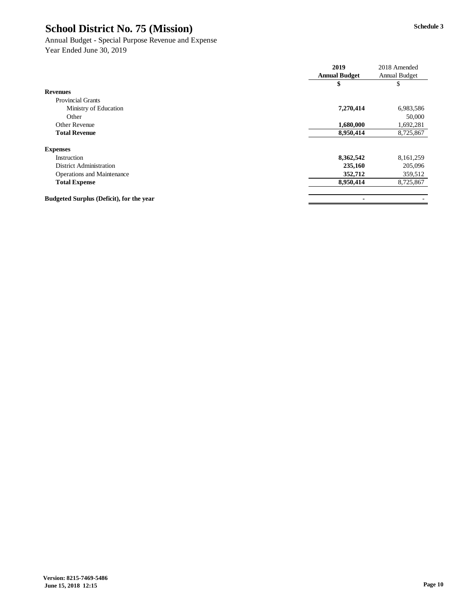#### Annual Budget - Special Purpose Revenue and Expense Year Ended June 30, 2019

|                                                 | 2019                 | 2018 Amended  |
|-------------------------------------------------|----------------------|---------------|
|                                                 | <b>Annual Budget</b> | Annual Budget |
|                                                 | \$                   | \$            |
| <b>Revenues</b>                                 |                      |               |
| <b>Provincial Grants</b>                        |                      |               |
| Ministry of Education                           | 7,270,414            | 6,983,586     |
| Other                                           |                      | 50,000        |
| Other Revenue                                   | 1,680,000            | 1,692,281     |
| <b>Total Revenue</b>                            | 8,950,414            | 8,725,867     |
| <b>Expenses</b>                                 |                      |               |
| Instruction                                     | 8,362,542            | 8,161,259     |
| <b>District Administration</b>                  | 235,160              | 205,096       |
| <b>Operations and Maintenance</b>               | 352,712              | 359,512       |
| <b>Total Expense</b>                            | 8,950,414            | 8,725,867     |
| <b>Budgeted Surplus (Deficit), for the year</b> | ۰                    |               |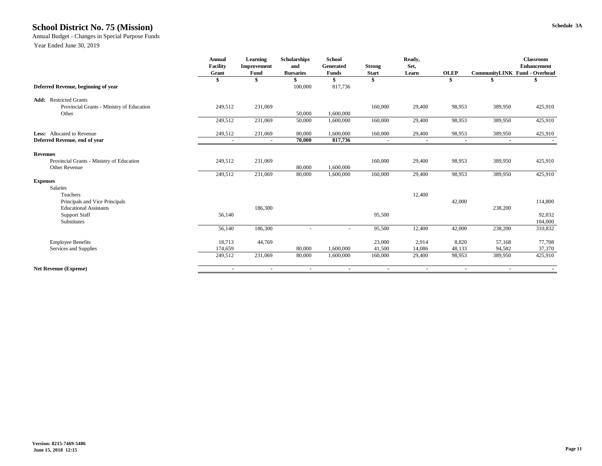### **Schedule 3A School District No. 75 (Mission)**

Annual Budget - Changes in Special Purpose Funds

|                                           | <b>Annual</b>   | Learning    | <b>Scholarships</b> | <b>School</b>    |               | Ready, |             |                               | <b>Classroom</b>   |
|-------------------------------------------|-----------------|-------------|---------------------|------------------|---------------|--------|-------------|-------------------------------|--------------------|
|                                           | <b>Facility</b> | Improvement | and                 | <b>Generated</b> | <b>Strong</b> | Set,   |             |                               | <b>Enhancement</b> |
|                                           | Grant           | Fund        | <b>Bursaries</b>    | Funds            | <b>Start</b>  | Learn  | <b>OLEP</b> | CommunityLINK Fund - Overhead |                    |
|                                           | \$              | S           |                     |                  | S             |        | -8          |                               |                    |
| Deferred Revenue, beginning of year       |                 |             | 100,000             | 817,736          |               |        |             |                               |                    |
| <b>Add:</b> Restricted Grants             |                 |             |                     |                  |               |        |             |                               |                    |
| Provincial Grants - Ministry of Education | 249,512         | 231,069     |                     |                  | 160,000       | 29,400 | 98,953      | 389,950                       | 425,910            |
| Other                                     |                 |             | 50,000              | 1,600,000        |               |        |             |                               |                    |
|                                           | 249,512         | 231,069     | 50,000              | 1,600,000        | 160,000       | 29,400 | 98,953      | 389,950                       | 425,910            |
| <b>Less:</b> Allocated to Revenue         | 249,512         | 231,069     | 80,000              | 1,600,000        | 160,000       | 29,400 | 98,953      | 389,950                       | 425,910            |
| Deferred Revenue, end of year             | $\sim$          | ۰.          | 70,000              | 817,736          |               | ٠      |             | ٠                             |                    |
| <b>Revenues</b>                           |                 |             |                     |                  |               |        |             |                               |                    |
| Provincial Grants - Ministry of Education | 249,512         | 231,069     |                     |                  | 160,000       | 29,400 | 98,953      | 389,950                       | 425,910            |
| Other Revenue                             |                 |             | 80,000              | 1,600,000        |               |        |             |                               |                    |
|                                           | 249,512         | 231,069     | 80,000              | 1,600,000        | 160,000       | 29,400 | 98,953      | 389,950                       | 425,910            |
| <b>Expenses</b>                           |                 |             |                     |                  |               |        |             |                               |                    |
| <b>Salaries</b>                           |                 |             |                     |                  |               |        |             |                               |                    |
| Teachers                                  |                 |             |                     |                  |               | 12,400 |             |                               |                    |
| Principals and Vice Principals            |                 |             |                     |                  |               |        | 42,000      |                               | 114,800            |
| <b>Educational Assistants</b>             |                 | 186,300     |                     |                  |               |        |             | 238,200                       |                    |
| <b>Support Staff</b>                      | 56,140          |             |                     |                  | 95,500        |        |             |                               | 92,032             |
| Substitutes                               |                 |             |                     |                  |               |        |             |                               | 104,000            |
|                                           | 56,140          | 186,300     |                     |                  | 95,500        | 12,400 | 42,000      | 238,200                       | 310,832            |
| <b>Employee Benefits</b>                  | 18,713          | 44,769      |                     |                  | 23,000        | 2,914  | 8,820       | 57,168                        | 77,708             |
| Services and Supplies                     | 174,659         |             | 80,000              | 1,600,000        | 41,500        | 14,086 | 48,133      | 94,582                        | 37,370             |
|                                           | 249,512         | 231,069     | 80,000              | 1,600,000        | 160,000       | 29,400 | 98,953      | 389,950                       | 425,910            |
| <b>Net Revenue (Expense)</b>              |                 |             |                     |                  |               |        |             | $\overline{\phantom{a}}$      |                    |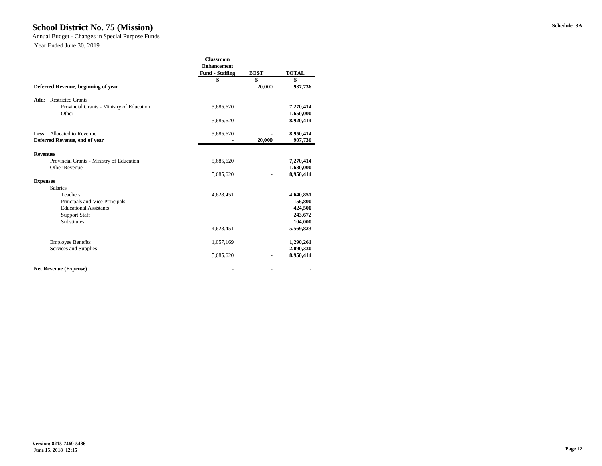### **Schedule 3A School District No. 75 (Mission)**

Annual Budget - Changes in Special Purpose Funds

|                                           | <b>Classroom</b>       |             |              |
|-------------------------------------------|------------------------|-------------|--------------|
|                                           | <b>Enhancement</b>     |             |              |
|                                           | <b>Fund - Staffing</b> | <b>BEST</b> | <b>TOTAL</b> |
|                                           | \$                     | \$          | \$           |
| Deferred Revenue, beginning of year       |                        | 20,000      | 937,736      |
| <b>Add:</b> Restricted Grants             |                        |             |              |
| Provincial Grants - Ministry of Education | 5,685,620              |             | 7,270,414    |
| Other                                     |                        |             | 1,650,000    |
|                                           | 5,685,620              |             | 8,920,414    |
| <b>Less:</b> Allocated to Revenue         | 5,685,620              |             | 8,950,414    |
| Deferred Revenue, end of year             |                        | 20,000      | 907,736      |
| <b>Revenues</b>                           |                        |             |              |
| Provincial Grants - Ministry of Education | 5,685,620              |             | 7,270,414    |
| Other Revenue                             |                        |             | 1,680,000    |
|                                           | 5,685,620              |             | 8,950,414    |
| <b>Expenses</b>                           |                        |             |              |
| <b>Salaries</b>                           |                        |             |              |
| Teachers                                  | 4,628,451              |             | 4,640,851    |
| Principals and Vice Principals            |                        |             | 156,800      |
| <b>Educational Assistants</b>             |                        |             | 424,500      |
| <b>Support Staff</b>                      |                        |             | 243,672      |
| <b>Substitutes</b>                        |                        |             | 104,000      |
|                                           | 4,628,451              | ÷           | 5,569,823    |
| <b>Employee Benefits</b>                  | 1,057,169              |             | 1,290,261    |
| Services and Supplies                     |                        |             | 2,090,330    |
|                                           | 5,685,620              |             | 8,950,414    |
| <b>Net Revenue (Expense)</b>              | ٠                      | ٠           |              |